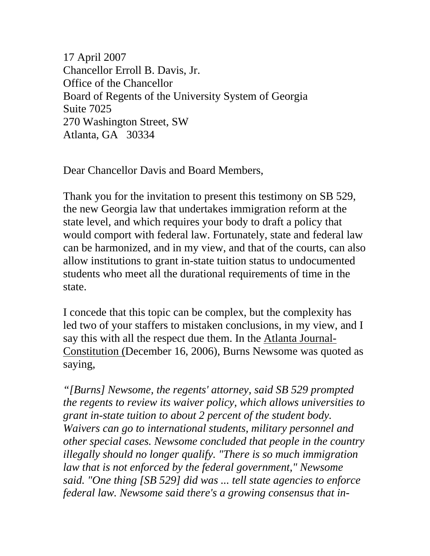17 April 2007 Chancellor Erroll B. Davis, Jr. Office of the Chancellor Board of Regents of the University System of Georgia Suite 7025 270 Washington Street, SW Atlanta, GA 30334

Dear Chancellor Davis and Board Members,

Thank you for the invitation to present this testimony on SB 529, the new Georgia law that undertakes immigration reform at the state level, and which requires your body to draft a policy that would comport with federal law. Fortunately, state and federal law can be harmonized, and in my view, and that of the courts, can also allow institutions to grant in-state tuition status to undocumented students who meet all the durational requirements of time in the state.

I concede that this topic can be complex, but the complexity has led two of your staffers to mistaken conclusions, in my view, and I say this with all the respect due them. In the Atlanta Journal-Constitution (December 16, 2006), Burns Newsome was quoted as saying,

*"[Burns] Newsome, the regents' attorney, said SB 529 prompted the regents to review its waiver policy, which allows universities to grant in-state tuition to about 2 percent of the student body. Waivers can go to international students, military personnel and other special cases. Newsome concluded that people in the country illegally should no longer qualify. "There is so much immigration law that is not enforced by the federal government," Newsome said. "One thing [SB 529] did was ... tell state agencies to enforce federal law. Newsome said there's a growing consensus that in-*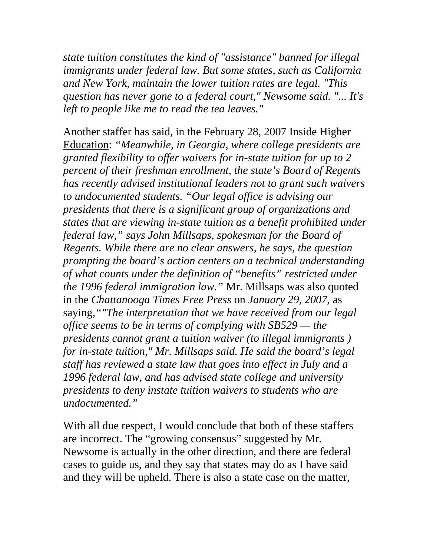*state tuition constitutes the kind of "assistance" banned for illegal immigrants under federal law. But some states, such as California and New York, maintain the lower tuition rates are legal. "This question has never gone to a federal court," Newsome said. "... It's left to people like me to read the tea leaves."* 

Another staffer has said, in the February 28, 2007 Inside Higher Education: *"Meanwhile, in Georgia, where college presidents are granted flexibility to offer waivers for in-state tuition for up to 2 percent of their freshman enrollment, the state's Board of Regents has recently advised institutional leaders not to grant such waivers to undocumented students. "Our legal office is advising our presidents that there is a significant group of organizations and states that are viewing in-state tuition as a benefit prohibited under federal law," says John Millsaps, spokesman for the Board of Regents. While there are no clear answers, he says, the question prompting the board's action centers on a technical understanding of what counts under the definition of "benefits" restricted under the 1996 federal immigration law."* Mr. Millsaps was also quoted in the *Chattanooga Times Free Press* on *January 29, 2007,* as saying,*""The interpretation that we have received from our legal office seems to be in terms of complying with SB529 — the presidents cannot grant a tuition waiver (to illegal immigrants ) for in-state tuition," Mr. Millsaps said. He said the board's legal staff has reviewed a state law that goes into effect in July and a 1996 federal law, and has advised state college and university presidents to deny instate tuition waivers to students who are undocumented."*

With all due respect, I would conclude that both of these staffers are incorrect. The "growing consensus" suggested by Mr. Newsome is actually in the other direction, and there are federal cases to guide us, and they say that states may do as I have said and they will be upheld. There is also a state case on the matter,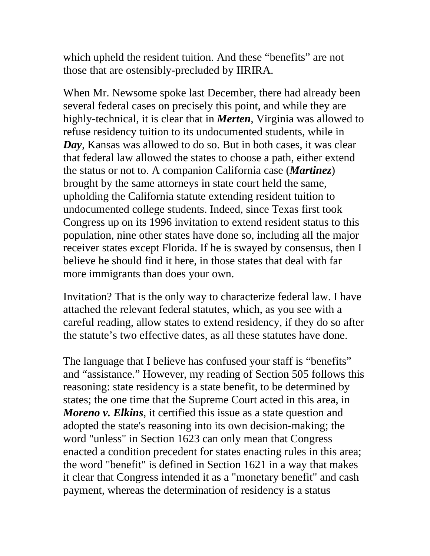which upheld the resident tuition. And these "benefits" are not those that are ostensibly-precluded by IIRIRA.

When Mr. Newsome spoke last December, there had already been several federal cases on precisely this point, and while they are highly-technical, it is clear that in *Merten*, Virginia was allowed to refuse residency tuition to its undocumented students, while in *Day*, Kansas was allowed to do so. But in both cases, it was clear that federal law allowed the states to choose a path, either extend the status or not to. A companion California case (*Martinez*) brought by the same attorneys in state court held the same, upholding the California statute extending resident tuition to undocumented college students. Indeed, since Texas first took Congress up on its 1996 invitation to extend resident status to this population, nine other states have done so, including all the major receiver states except Florida. If he is swayed by consensus, then I believe he should find it here, in those states that deal with far more immigrants than does your own.

Invitation? That is the only way to characterize federal law. I have attached the relevant federal statutes, which, as you see with a careful reading, allow states to extend residency, if they do so after the statute's two effective dates, as all these statutes have done.

The language that I believe has confused your staff is "benefits" and "assistance." However, my reading of Section 505 follows this reasoning: state residency is a state benefit, to be determined by states; the one time that the Supreme Court acted in this area, in *Moreno v. Elkins*, it certified this issue as a state question and adopted the state's reasoning into its own decision-making; the word "unless" in Section 1623 can only mean that Congress enacted a condition precedent for states enacting rules in this area; the word "benefit" is defined in Section 1621 in a way that makes it clear that Congress intended it as a "monetary benefit" and cash payment, whereas the determination of residency is a status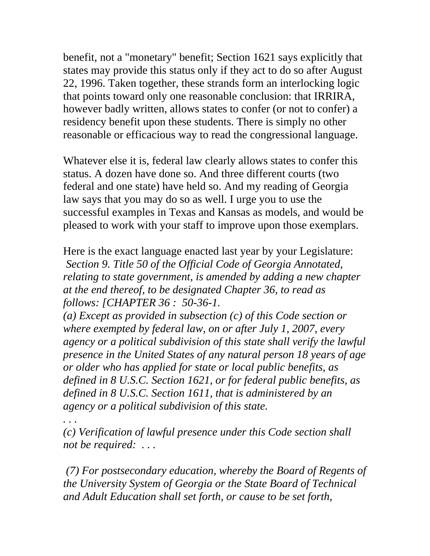benefit, not a "monetary" benefit; Section 1621 says explicitly that states may provide this status only if they act to do so after August 22, 1996. Taken together, these strands form an interlocking logic that points toward only one reasonable conclusion: that IRRIRA, however badly written, allows states to confer (or not to confer) a residency benefit upon these students. There is simply no other reasonable or efficacious way to read the congressional language.

Whatever else it is, federal law clearly allows states to confer this status. A dozen have done so. And three different courts (two federal and one state) have held so. And my reading of Georgia law says that you may do so as well. I urge you to use the successful examples in Texas and Kansas as models, and would be pleased to work with your staff to improve upon those exemplars.

Here is the exact language enacted last year by your Legislature: *Section 9. Title 50 of the Official Code of Georgia Annotated, relating to state government, is amended by adding a new chapter at the end thereof, to be designated Chapter 36, to read as follows: [CHAPTER 36 : 50-36-1.* 

*(a) Except as provided in subsection (c) of this Code section or where exempted by federal law, on or after July 1, 2007, every agency or a political subdivision of this state shall verify the lawful presence in the United States of any natural person 18 years of age or older who has applied for state or local public benefits, as defined in 8 U.S.C. Section 1621, or for federal public benefits, as defined in 8 U.S.C. Section 1611, that is administered by an agency or a political subdivision of this state.* 

*. . .* 

*(c) Verification of lawful presence under this Code section shall not be required: . . .* 

 *(7) For postsecondary education, whereby the Board of Regents of the University System of Georgia or the State Board of Technical and Adult Education shall set forth, or cause to be set forth,*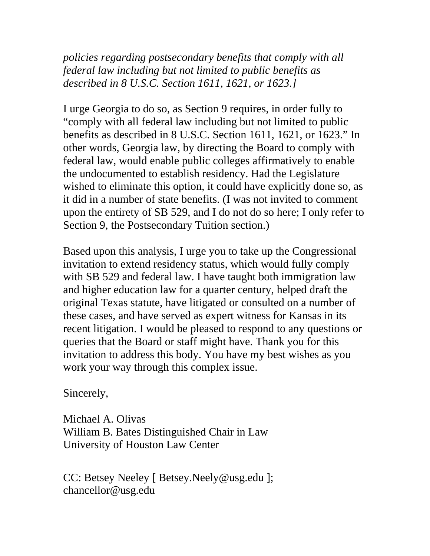*policies regarding postsecondary benefits that comply with all federal law including but not limited to public benefits as described in 8 U.S.C. Section 1611, 1621, or 1623.]*

I urge Georgia to do so, as Section 9 requires, in order fully to "comply with all federal law including but not limited to public benefits as described in 8 U.S.C. Section 1611, 1621, or 1623." In other words, Georgia law, by directing the Board to comply with federal law, would enable public colleges affirmatively to enable the undocumented to establish residency. Had the Legislature wished to eliminate this option, it could have explicitly done so, as it did in a number of state benefits. (I was not invited to comment upon the entirety of SB 529, and I do not do so here; I only refer to Section 9, the Postsecondary Tuition section.)

Based upon this analysis, I urge you to take up the Congressional invitation to extend residency status, which would fully comply with SB 529 and federal law. I have taught both immigration law and higher education law for a quarter century, helped draft the original Texas statute, have litigated or consulted on a number of these cases, and have served as expert witness for Kansas in its recent litigation. I would be pleased to respond to any questions or queries that the Board or staff might have. Thank you for this invitation to address this body. You have my best wishes as you work your way through this complex issue.

Sincerely,

Michael A. Olivas William B. Bates Distinguished Chair in Law University of Houston Law Center

CC: Betsey Neeley [ [Betsey.Neely@usg.edu](mailto:Betsey.Neely@usg.edu) ]; chancellor@usg.edu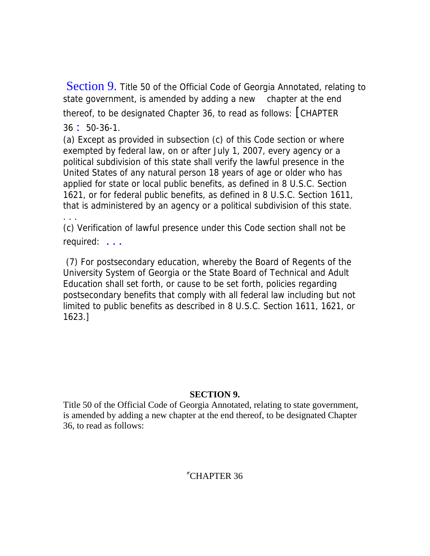Section 9. Title 50 of the Official Code of Georgia Annotated, relating to state government, is amended by adding a new chapter at the end thereof, to be designated Chapter 36, to read as follows: [CHAPTER

36 : 50-36-1.

. . .

(a) Except as provided in subsection (c) of this Code section or where exempted by federal law, on or after July 1, 2007, every agency or a political subdivision of this state shall verify the lawful presence in the United States of any natural person 18 years of age or older who has applied for state or local public benefits, as defined in 8 U.S.C. Section 1621, or for federal public benefits, as defined in 8 U.S.C. Section 1611, that is administered by an agency or a political subdivision of this state.

(c) Verification of lawful presence under this Code section shall not be required: . . .

 (7) For postsecondary education, whereby the Board of Regents of the University System of Georgia or the State Board of Technical and Adult Education shall set forth, or cause to be set forth, policies regarding postsecondary benefits that comply with all federal law including but not limited to public benefits as described in 8 U.S.C. Section 1611, 1621, or 1623.]

## **SECTION 9.**

Title 50 of the Official Code of Georgia Annotated, relating to state government, is amended by adding a new chapter at the end thereof, to be designated Chapter 36, to read as follows:

## "CHAPTER 36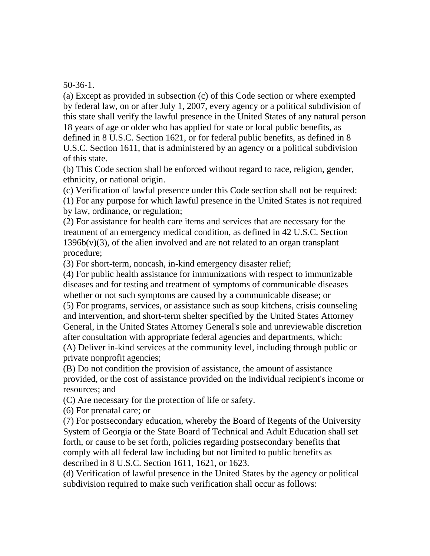50-36-1.

(a) Except as provided in subsection (c) of this Code section or where exempted by federal law, on or after July 1, 2007, every agency or a political subdivision of this state shall verify the lawful presence in the United States of any natural person 18 years of age or older who has applied for state or local public benefits, as defined in 8 U.S.C. Section 1621, or for federal public benefits, as defined in 8 U.S.C. Section 1611, that is administered by an agency or a political subdivision

of this state.

(b) This Code section shall be enforced without regard to race, religion, gender, ethnicity, or national origin.

(c) Verification of lawful presence under this Code section shall not be required:

(1) For any purpose for which lawful presence in the United States is not required by law, ordinance, or regulation;

(2) For assistance for health care items and services that are necessary for the treatment of an emergency medical condition, as defined in 42 U.S.C. Section  $1396b(v)(3)$ , of the alien involved and are not related to an organ transplant procedure;

(3) For short-term, noncash, in-kind emergency disaster relief;

(4) For public health assistance for immunizations with respect to immunizable diseases and for testing and treatment of symptoms of communicable diseases whether or not such symptoms are caused by a communicable disease; or (5) For programs, services, or assistance such as soup kitchens, crisis counseling and intervention, and short-term shelter specified by the United States Attorney General, in the United States Attorney General's sole and unreviewable discretion after consultation with appropriate federal agencies and departments, which: (A) Deliver in-kind services at the community level, including through public or private nonprofit agencies;

provided, or the cost of assistance provided on the individual recipient's income or (B) Do not condition the provision of assistance, the amount of assistance resources; and

(C) Are necessary for the protection of life or safety.

(6) For prenatal care; or

(7) For postsecondary education, whereby the Board of Regents of the University System of Georgia or the State Board of Technical and Adult Education shall set forth, or cause to be set forth, policies regarding postsecondary benefits that comply with all federal law including but not limited to public benefits as described in 8 U.S.C. Section 1611, 1621, or 1623.

(d) Verification of lawful presence in the United States by the agency or political subdivision required to make such verification shall occur as follows: